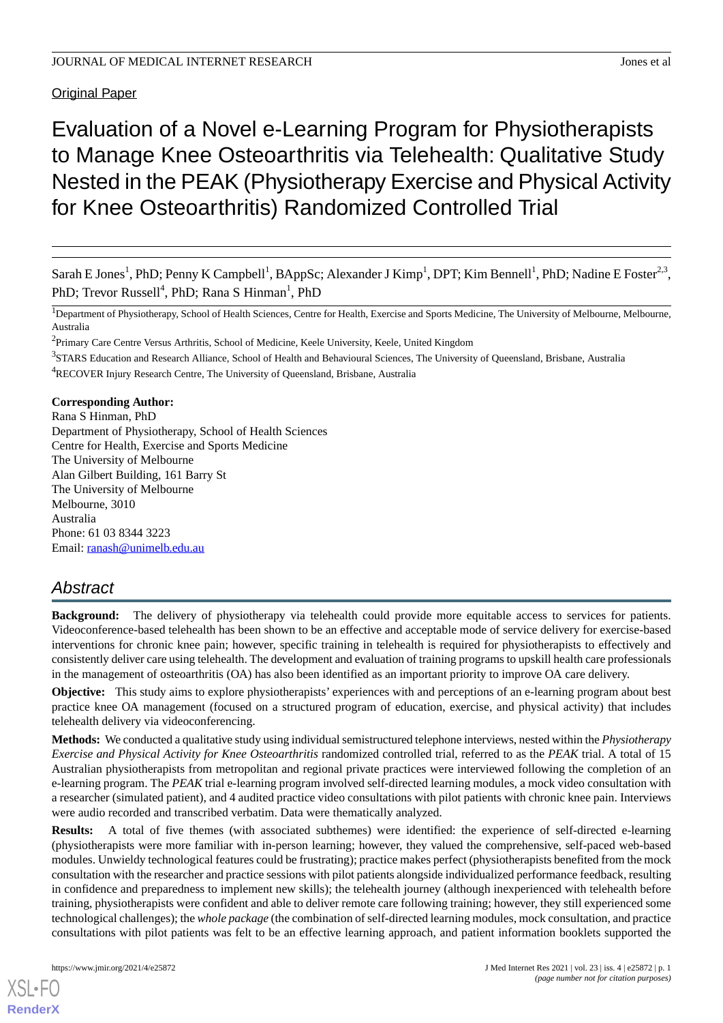**Original Paper** 

# Evaluation of a Novel e-Learning Program for Physiotherapists to Manage Knee Osteoarthritis via Telehealth: Qualitative Study Nested in the PEAK (Physiotherapy Exercise and Physical Activity for Knee Osteoarthritis) Randomized Controlled Trial

Sarah E Jones<sup>1</sup>, PhD; Penny K Campbell<sup>1</sup>, BAppSc; Alexander J Kimp<sup>1</sup>, DPT; Kim Bennell<sup>1</sup>, PhD; Nadine E Foster<sup>2,3</sup>, PhD; Trevor Russell<sup>4</sup>, PhD; Rana S Hinman<sup>1</sup>, PhD

<sup>1</sup>Department of Physiotherapy, School of Health Sciences, Centre for Health, Exercise and Sports Medicine, The University of Melbourne, Melbourne, Australia

<sup>2</sup>Primary Care Centre Versus Arthritis, School of Medicine, Keele University, Keele, United Kingdom

<sup>3</sup>STARS Education and Research Alliance, School of Health and Behavioural Sciences, The University of Queensland, Brisbane, Australia <sup>4</sup>RECOVER Injury Research Centre, The University of Queensland, Brisbane, Australia

**Corresponding Author:**

Rana S Hinman, PhD Department of Physiotherapy, School of Health Sciences Centre for Health, Exercise and Sports Medicine The University of Melbourne Alan Gilbert Building, 161 Barry St The University of Melbourne Melbourne, 3010 Australia Phone: 61 03 8344 3223 Email: [ranash@unimelb.edu.au](mailto:ranash@unimelb.edu.au)

# *Abstract*

**Background:** The delivery of physiotherapy via telehealth could provide more equitable access to services for patients. Videoconference-based telehealth has been shown to be an effective and acceptable mode of service delivery for exercise-based interventions for chronic knee pain; however, specific training in telehealth is required for physiotherapists to effectively and consistently deliver care using telehealth. The development and evaluation of training programs to upskill health care professionals in the management of osteoarthritis (OA) has also been identified as an important priority to improve OA care delivery.

**Objective:** This study aims to explore physiotherapists' experiences with and perceptions of an e-learning program about best practice knee OA management (focused on a structured program of education, exercise, and physical activity) that includes telehealth delivery via videoconferencing.

**Methods:** We conducted a qualitative study using individual semistructured telephone interviews, nested within the *Physiotherapy Exercise and Physical Activity for Knee Osteoarthritis* randomized controlled trial, referred to as the *PEAK* trial. A total of 15 Australian physiotherapists from metropolitan and regional private practices were interviewed following the completion of an e-learning program. The *PEAK* trial e-learning program involved self-directed learning modules, a mock video consultation with a researcher (simulated patient), and 4 audited practice video consultations with pilot patients with chronic knee pain. Interviews were audio recorded and transcribed verbatim. Data were thematically analyzed.

**Results:** A total of five themes (with associated subthemes) were identified: the experience of self-directed e-learning (physiotherapists were more familiar with in-person learning; however, they valued the comprehensive, self-paced web-based modules. Unwieldy technological features could be frustrating); practice makes perfect (physiotherapists benefited from the mock consultation with the researcher and practice sessions with pilot patients alongside individualized performance feedback, resulting in confidence and preparedness to implement new skills); the telehealth journey (although inexperienced with telehealth before training, physiotherapists were confident and able to deliver remote care following training; however, they still experienced some technological challenges); the *whole package* (the combination of self-directed learning modules, mock consultation, and practice consultations with pilot patients was felt to be an effective learning approach, and patient information booklets supported the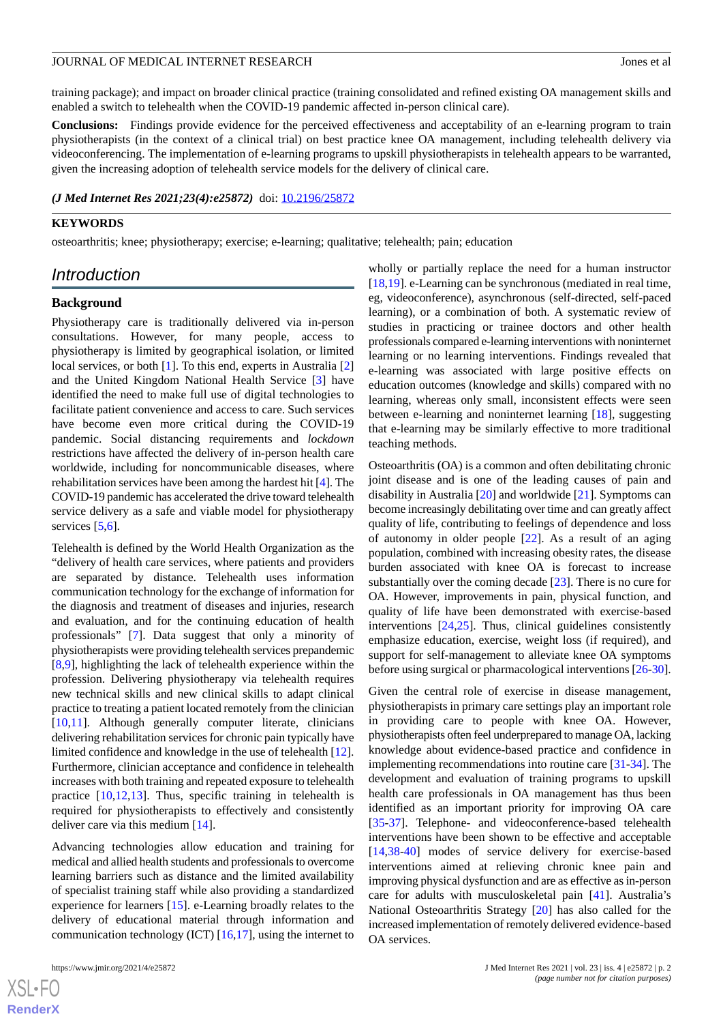training package); and impact on broader clinical practice (training consolidated and refined existing OA management skills and enabled a switch to telehealth when the COVID-19 pandemic affected in-person clinical care).

**Conclusions:** Findings provide evidence for the perceived effectiveness and acceptability of an e-learning program to train physiotherapists (in the context of a clinical trial) on best practice knee OA management, including telehealth delivery via videoconferencing. The implementation of e-learning programs to upskill physiotherapists in telehealth appears to be warranted, given the increasing adoption of telehealth service models for the delivery of clinical care.

### *(J Med Internet Res 2021;23(4):e25872)* doi:  $10.2196/25872$

# **KEYWORDS**

osteoarthritis; knee; physiotherapy; exercise; e-learning; qualitative; telehealth; pain; education

# *Introduction*

#### **Background**

Physiotherapy care is traditionally delivered via in-person consultations. However, for many people, access to physiotherapy is limited by geographical isolation, or limited local services, or both [\[1](#page-8-0)]. To this end, experts in Australia [\[2](#page-9-0)] and the United Kingdom National Health Service [\[3](#page-9-1)] have identified the need to make full use of digital technologies to facilitate patient convenience and access to care. Such services have become even more critical during the COVID-19 pandemic. Social distancing requirements and *lockdown* restrictions have affected the delivery of in-person health care worldwide, including for noncommunicable diseases, where rehabilitation services have been among the hardest hit [\[4](#page-9-2)]. The COVID-19 pandemic has accelerated the drive toward telehealth service delivery as a safe and viable model for physiotherapy services [[5,](#page-9-3)[6](#page-9-4)].

Telehealth is defined by the World Health Organization as the "delivery of health care services, where patients and providers are separated by distance. Telehealth uses information communication technology for the exchange of information for the diagnosis and treatment of diseases and injuries, research and evaluation, and for the continuing education of health professionals" [\[7](#page-9-5)]. Data suggest that only a minority of physiotherapists were providing telehealth services prepandemic [[8](#page-9-6)[,9](#page-9-7)], highlighting the lack of telehealth experience within the profession. Delivering physiotherapy via telehealth requires new technical skills and new clinical skills to adapt clinical practice to treating a patient located remotely from the clinician [[10](#page-9-8)[,11](#page-9-9)]. Although generally computer literate, clinicians delivering rehabilitation services for chronic pain typically have limited confidence and knowledge in the use of telehealth [[12\]](#page-9-10). Furthermore, clinician acceptance and confidence in telehealth increases with both training and repeated exposure to telehealth practice [[10,](#page-9-8)[12](#page-9-10),[13\]](#page-9-11). Thus, specific training in telehealth is required for physiotherapists to effectively and consistently deliver care via this medium [[14\]](#page-9-12).

Advancing technologies allow education and training for medical and allied health students and professionals to overcome learning barriers such as distance and the limited availability of specialist training staff while also providing a standardized experience for learners [[15\]](#page-9-13). e-Learning broadly relates to the delivery of educational material through information and communication technology (ICT) [\[16](#page-9-14),[17\]](#page-9-15), using the internet to

wholly or partially replace the need for a human instructor [[18,](#page-9-16)[19\]](#page-9-17). e-Learning can be synchronous (mediated in real time, eg, videoconference), asynchronous (self-directed, self-paced learning), or a combination of both. A systematic review of studies in practicing or trainee doctors and other health professionals compared e-learning interventions with noninternet learning or no learning interventions. Findings revealed that e-learning was associated with large positive effects on education outcomes (knowledge and skills) compared with no learning, whereas only small, inconsistent effects were seen between e-learning and noninternet learning [[18\]](#page-9-16), suggesting that e-learning may be similarly effective to more traditional teaching methods.

Osteoarthritis (OA) is a common and often debilitating chronic joint disease and is one of the leading causes of pain and disability in Australia [\[20](#page-9-18)] and worldwide [[21\]](#page-9-19). Symptoms can become increasingly debilitating over time and can greatly affect quality of life, contributing to feelings of dependence and loss of autonomy in older people [\[22](#page-9-20)]. As a result of an aging population, combined with increasing obesity rates, the disease burden associated with knee OA is forecast to increase substantially over the coming decade [\[23](#page-9-21)]. There is no cure for OA. However, improvements in pain, physical function, and quality of life have been demonstrated with exercise-based interventions [[24](#page-9-22)[,25](#page-10-0)]. Thus, clinical guidelines consistently emphasize education, exercise, weight loss (if required), and support for self-management to alleviate knee OA symptoms before using surgical or pharmacological interventions [[26-](#page-10-1)[30\]](#page-10-2).

Given the central role of exercise in disease management, physiotherapists in primary care settings play an important role in providing care to people with knee OA. However, physiotherapists often feel underprepared to manage OA, lacking knowledge about evidence-based practice and confidence in implementing recommendations into routine care [[31-](#page-10-3)[34](#page-10-4)]. The development and evaluation of training programs to upskill health care professionals in OA management has thus been identified as an important priority for improving OA care [[35](#page-10-5)[-37](#page-10-6)]. Telephone- and videoconference-based telehealth interventions have been shown to be effective and acceptable [[14,](#page-9-12)[38-](#page-10-7)[40\]](#page-10-8) modes of service delivery for exercise-based interventions aimed at relieving chronic knee pain and improving physical dysfunction and are as effective as in-person care for adults with musculoskeletal pain [[41\]](#page-10-9). Australia's National Osteoarthritis Strategy [[20\]](#page-9-18) has also called for the increased implementation of remotely delivered evidence-based OA services.

```
XS-FO
RenderX
```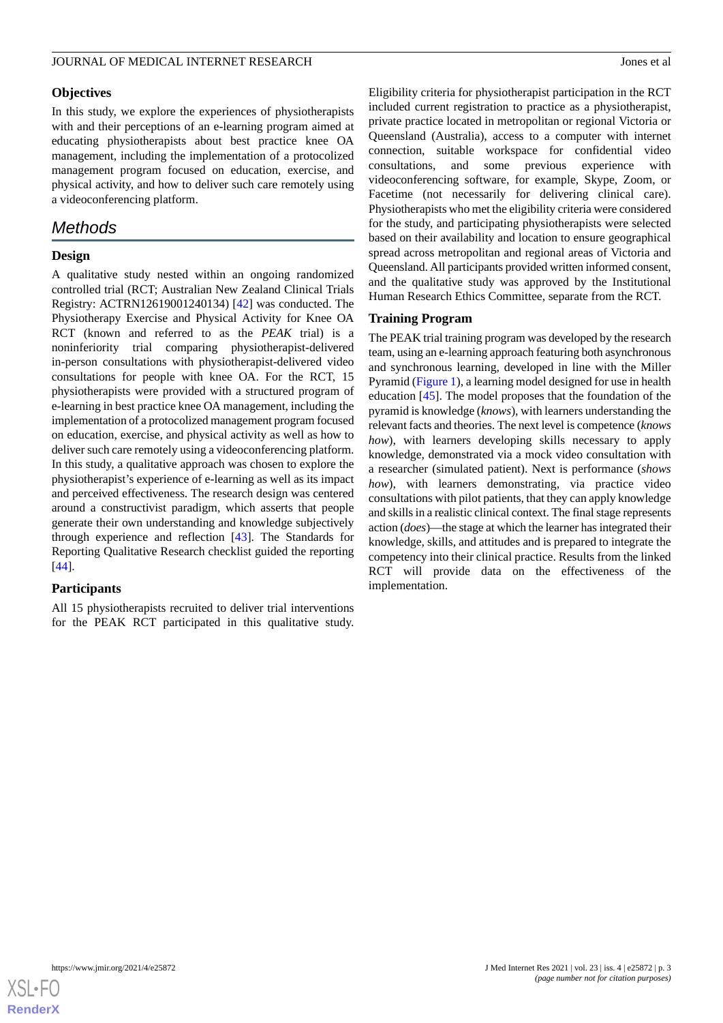# **Objectives**

In this study, we explore the experiences of physiotherapists with and their perceptions of an e-learning program aimed at educating physiotherapists about best practice knee OA management, including the implementation of a protocolized management program focused on education, exercise, and physical activity, and how to deliver such care remotely using a videoconferencing platform.

# *Methods*

# **Design**

A qualitative study nested within an ongoing randomized controlled trial (RCT; Australian New Zealand Clinical Trials Registry: ACTRN12619001240134) [[42\]](#page-10-10) was conducted. The Physiotherapy Exercise and Physical Activity for Knee OA RCT (known and referred to as the *PEAK* trial) is a noninferiority trial comparing physiotherapist-delivered in-person consultations with physiotherapist-delivered video consultations for people with knee OA. For the RCT, 15 physiotherapists were provided with a structured program of e-learning in best practice knee OA management, including the implementation of a protocolized management program focused on education, exercise, and physical activity as well as how to deliver such care remotely using a videoconferencing platform. In this study, a qualitative approach was chosen to explore the physiotherapist's experience of e-learning as well as its impact and perceived effectiveness. The research design was centered around a constructivist paradigm, which asserts that people generate their own understanding and knowledge subjectively through experience and reflection [[43\]](#page-10-11). The Standards for Reporting Qualitative Research checklist guided the reporting [[44\]](#page-10-12).

# **Participants**

All 15 physiotherapists recruited to deliver trial interventions for the PEAK RCT participated in this qualitative study.

Eligibility criteria for physiotherapist participation in the RCT included current registration to practice as a physiotherapist, private practice located in metropolitan or regional Victoria or Queensland (Australia), access to a computer with internet connection, suitable workspace for confidential video consultations, and some previous experience with videoconferencing software, for example, Skype, Zoom, or Facetime (not necessarily for delivering clinical care). Physiotherapists who met the eligibility criteria were considered for the study, and participating physiotherapists were selected based on their availability and location to ensure geographical spread across metropolitan and regional areas of Victoria and Queensland. All participants provided written informed consent, and the qualitative study was approved by the Institutional Human Research Ethics Committee, separate from the RCT.

### **Training Program**

The PEAK trial training program was developed by the research team, using an e-learning approach featuring both asynchronous and synchronous learning, developed in line with the Miller Pyramid ([Figure 1\)](#page-3-0), a learning model designed for use in health education [\[45](#page-10-13)]. The model proposes that the foundation of the pyramid is knowledge (*knows*), with learners understanding the relevant facts and theories. The next level is competence (*knows how*), with learners developing skills necessary to apply knowledge, demonstrated via a mock video consultation with a researcher (simulated patient). Next is performance (*shows how*), with learners demonstrating, via practice video consultations with pilot patients, that they can apply knowledge and skills in a realistic clinical context. The final stage represents action (*does*)—the stage at which the learner has integrated their knowledge, skills, and attitudes and is prepared to integrate the competency into their clinical practice. Results from the linked RCT will provide data on the effectiveness of the implementation.

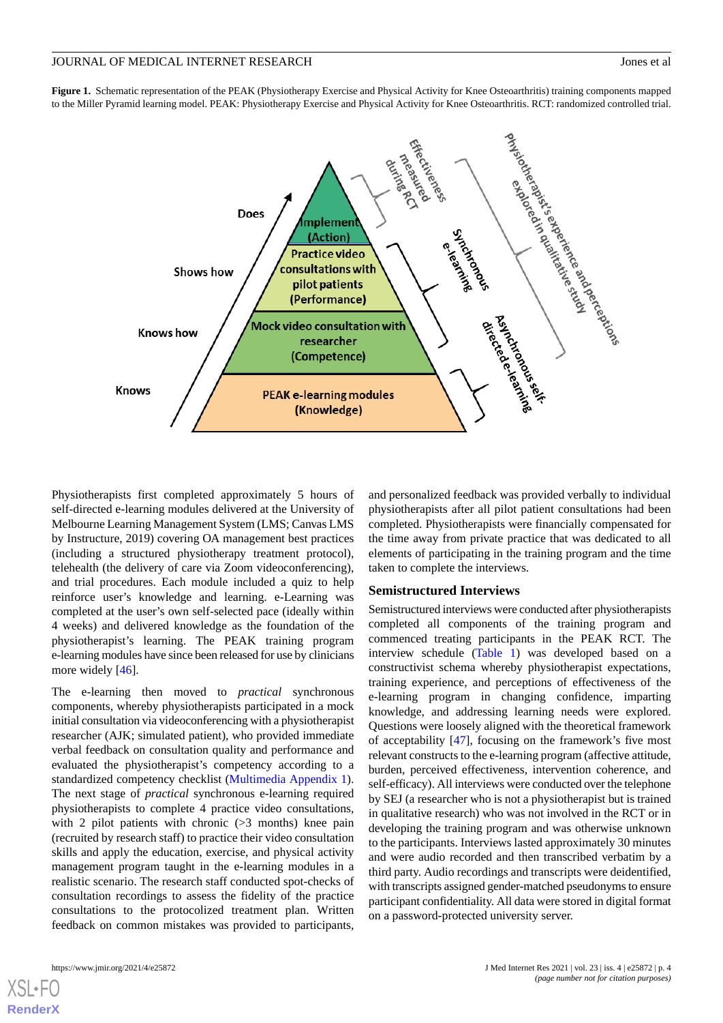<span id="page-3-0"></span>**Figure 1.** Schematic representation of the PEAK (Physiotherapy Exercise and Physical Activity for Knee Osteoarthritis) training components mapped



Physiotherapists first completed approximately 5 hours of self-directed e-learning modules delivered at the University of Melbourne Learning Management System (LMS; Canvas LMS by Instructure, 2019) covering OA management best practices (including a structured physiotherapy treatment protocol), telehealth (the delivery of care via Zoom videoconferencing), and trial procedures. Each module included a quiz to help reinforce user's knowledge and learning. e-Learning was completed at the user's own self-selected pace (ideally within 4 weeks) and delivered knowledge as the foundation of the physiotherapist's learning. The PEAK training program e-learning modules have since been released for use by clinicians more widely [[46\]](#page-11-0).

The e-learning then moved to *practical* synchronous components, whereby physiotherapists participated in a mock initial consultation via videoconferencing with a physiotherapist researcher (AJK; simulated patient), who provided immediate verbal feedback on consultation quality and performance and evaluated the physiotherapist's competency according to a standardized competency checklist ([Multimedia Appendix 1\)](#page-8-1). The next stage of *practical* synchronous e-learning required physiotherapists to complete 4 practice video consultations, with 2 pilot patients with chronic (>3 months) knee pain (recruited by research staff) to practice their video consultation skills and apply the education, exercise, and physical activity management program taught in the e-learning modules in a realistic scenario. The research staff conducted spot-checks of consultation recordings to assess the fidelity of the practice consultations to the protocolized treatment plan. Written feedback on common mistakes was provided to participants,

[XSL](http://www.w3.org/Style/XSL)•FO **[RenderX](http://www.renderx.com/)**

and personalized feedback was provided verbally to individual physiotherapists after all pilot patient consultations had been completed. Physiotherapists were financially compensated for the time away from private practice that was dedicated to all elements of participating in the training program and the time taken to complete the interviews.

### **Semistructured Interviews**

Semistructured interviews were conducted after physiotherapists completed all components of the training program and commenced treating participants in the PEAK RCT. The interview schedule ([Table 1](#page-4-0)) was developed based on a constructivist schema whereby physiotherapist expectations, training experience, and perceptions of effectiveness of the e-learning program in changing confidence, imparting knowledge, and addressing learning needs were explored. Questions were loosely aligned with the theoretical framework of acceptability [[47\]](#page-11-1), focusing on the framework's five most relevant constructs to the e-learning program (affective attitude, burden, perceived effectiveness, intervention coherence, and self-efficacy). All interviews were conducted over the telephone by SEJ (a researcher who is not a physiotherapist but is trained in qualitative research) who was not involved in the RCT or in developing the training program and was otherwise unknown to the participants. Interviews lasted approximately 30 minutes and were audio recorded and then transcribed verbatim by a third party. Audio recordings and transcripts were deidentified, with transcripts assigned gender-matched pseudonyms to ensure participant confidentiality. All data were stored in digital format on a password-protected university server.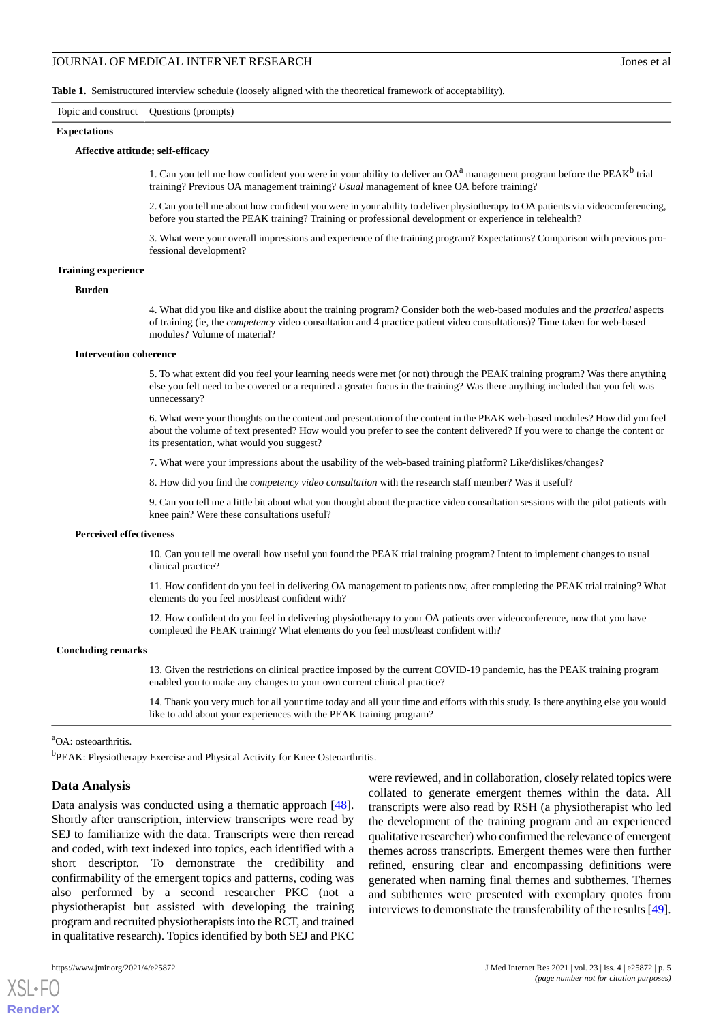<span id="page-4-0"></span>**Table 1.** Semistructured interview schedule (loosely aligned with the theoretical framework of acceptability).

#### Topic and construct Questions (prompts)

**Expectations**

#### **Affective attitude; self-efficacy**

1. Can you tell me how confident you were in your ability to deliver an  $OA^a$  management program before the PEAK<sup>b</sup> trial training? Previous OA management training? *Usual* management of knee OA before training?

2. Can you tell me about how confident you were in your ability to deliver physiotherapy to OA patients via videoconferencing, before you started the PEAK training? Training or professional development or experience in telehealth?

3. What were your overall impressions and experience of the training program? Expectations? Comparison with previous professional development?

#### **Training experience**

**Burden**

4. What did you like and dislike about the training program? Consider both the web-based modules and the *practical* aspects of training (ie, the *competency* video consultation and 4 practice patient video consultations)? Time taken for web-based modules? Volume of material?

#### **Intervention coherence**

5. To what extent did you feel your learning needs were met (or not) through the PEAK training program? Was there anything else you felt need to be covered or a required a greater focus in the training? Was there anything included that you felt was unnecessary?

6. What were your thoughts on the content and presentation of the content in the PEAK web-based modules? How did you feel about the volume of text presented? How would you prefer to see the content delivered? If you were to change the content or its presentation, what would you suggest?

7. What were your impressions about the usability of the web-based training platform? Like/dislikes/changes?

8. How did you find the *competency video consultation* with the research staff member? Was it useful?

9. Can you tell me a little bit about what you thought about the practice video consultation sessions with the pilot patients with knee pain? Were these consultations useful?

#### **Perceived effectiveness**

10. Can you tell me overall how useful you found the PEAK trial training program? Intent to implement changes to usual clinical practice?

11. How confident do you feel in delivering OA management to patients now, after completing the PEAK trial training? What elements do you feel most/least confident with?

12. How confident do you feel in delivering physiotherapy to your OA patients over videoconference, now that you have completed the PEAK training? What elements do you feel most/least confident with?

#### **Concluding remarks**

13. Given the restrictions on clinical practice imposed by the current COVID-19 pandemic, has the PEAK training program enabled you to make any changes to your own current clinical practice?

14. Thank you very much for all your time today and all your time and efforts with this study. Is there anything else you would like to add about your experiences with the PEAK training program?

### <sup>a</sup>OA: osteoarthritis.

<sup>b</sup>PEAK: Physiotherapy Exercise and Physical Activity for Knee Osteoarthritis.

#### **Data Analysis**

Data analysis was conducted using a thematic approach [[48\]](#page-11-2). Shortly after transcription, interview transcripts were read by SEJ to familiarize with the data. Transcripts were then reread and coded, with text indexed into topics, each identified with a short descriptor. To demonstrate the credibility and confirmability of the emergent topics and patterns, coding was also performed by a second researcher PKC (not a physiotherapist but assisted with developing the training program and recruited physiotherapists into the RCT, and trained in qualitative research). Topics identified by both SEJ and PKC

were reviewed, and in collaboration, closely related topics were collated to generate emergent themes within the data. All transcripts were also read by RSH (a physiotherapist who led the development of the training program and an experienced qualitative researcher) who confirmed the relevance of emergent themes across transcripts. Emergent themes were then further refined, ensuring clear and encompassing definitions were generated when naming final themes and subthemes. Themes and subthemes were presented with exemplary quotes from interviews to demonstrate the transferability of the results [[49\]](#page-11-3).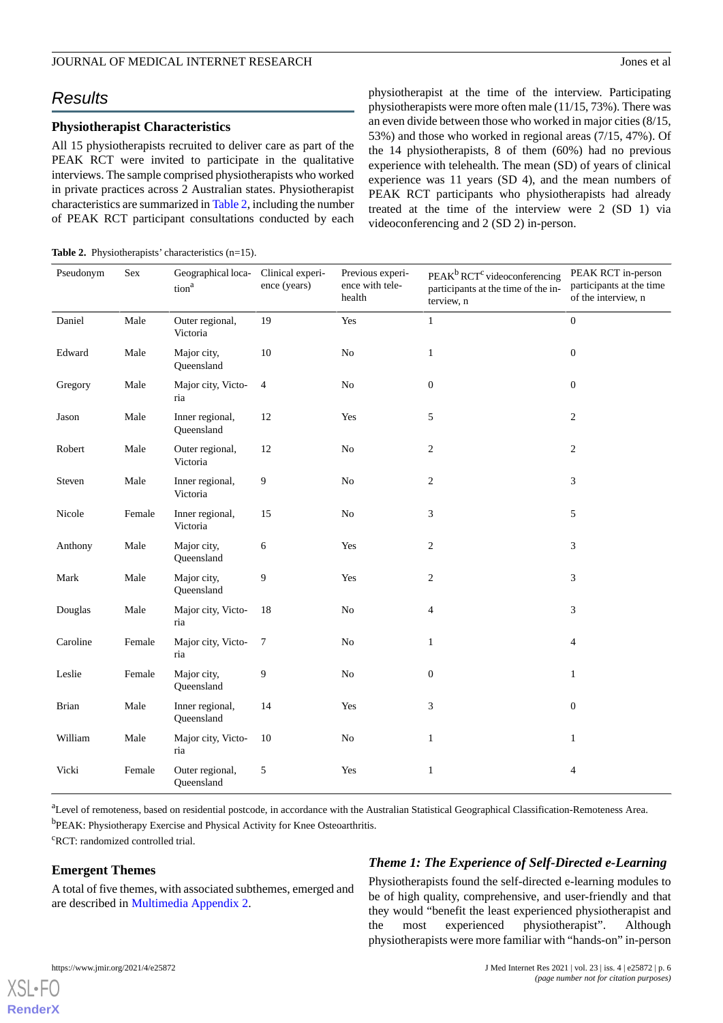# *Results*

# **Physiotherapist Characteristics**

All 15 physiotherapists recruited to deliver care as part of the PEAK RCT were invited to participate in the qualitative interviews. The sample comprised physiotherapists who worked in private practices across 2 Australian states. Physiotherapist characteristics are summarized in [Table 2,](#page-5-0) including the number of PEAK RCT participant consultations conducted by each

<span id="page-5-0"></span>

| <b>Table 2.</b> Physiotherapists' characteristics $(n=15)$ . |  |
|--------------------------------------------------------------|--|
|                                                              |  |

physiotherapist at the time of the interview. Participating physiotherapists were more often male (11/15, 73%). There was an even divide between those who worked in major cities (8/15, 53%) and those who worked in regional areas (7/15, 47%). Of the 14 physiotherapists, 8 of them (60%) had no previous experience with telehealth. The mean (SD) of years of clinical experience was 11 years (SD 4), and the mean numbers of PEAK RCT participants who physiotherapists had already treated at the time of the interview were 2 (SD 1) via videoconferencing and 2 (SD 2) in-person.

| Pseudonym    | Sex    | Geographical loca- Clinical experi-<br>tion <sup>a</sup> | ence (years)   | Previous experi-<br>ence with tele-<br>health | PEAK <sup>b</sup> RCT <sup>c</sup> videoconferencing<br>participants at the time of the in-<br>terview, n | PEAK RCT in-person<br>participants at the time<br>of the interview, n |
|--------------|--------|----------------------------------------------------------|----------------|-----------------------------------------------|-----------------------------------------------------------------------------------------------------------|-----------------------------------------------------------------------|
| Daniel       | Male   | Outer regional,<br>Victoria                              | 19             | Yes                                           | $\mathbf{1}$                                                                                              | $\boldsymbol{0}$                                                      |
| Edward       | Male   | Major city,<br>Queensland                                | 10             | $\rm No$                                      | $\mathbf{1}$                                                                                              | $\boldsymbol{0}$                                                      |
| Gregory      | Male   | Major city, Victo-<br>ria                                | $\overline{4}$ | $\rm No$                                      | $\boldsymbol{0}$                                                                                          | $\boldsymbol{0}$                                                      |
| Jason        | Male   | Inner regional,<br>Queensland                            | 12             | Yes                                           | 5                                                                                                         | $\overline{c}$                                                        |
| Robert       | Male   | Outer regional,<br>Victoria                              | $12\,$         | $\rm No$                                      | $\overline{c}$                                                                                            | $\overline{c}$                                                        |
| Steven       | Male   | Inner regional,<br>Victoria                              | 9              | $\rm No$                                      | $\overline{c}$                                                                                            | 3                                                                     |
| Nicole       | Female | Inner regional,<br>Victoria                              | 15             | $\rm No$                                      | 3                                                                                                         | 5                                                                     |
| Anthony      | Male   | Major city,<br>Queensland                                | 6              | Yes                                           | $\overline{c}$                                                                                            | 3                                                                     |
| Mark         | Male   | Major city,<br>Queensland                                | 9              | Yes                                           | $\overline{c}$                                                                                            | 3                                                                     |
| Douglas      | Male   | Major city, Victo-<br>ria                                | 18             | No                                            | 4                                                                                                         | 3                                                                     |
| Caroline     | Female | Major city, Victo-<br>ria                                | 7              | No                                            | $\mathbf{1}$                                                                                              | $\overline{4}$                                                        |
| Leslie       | Female | Major city,<br>Queensland                                | 9              | $\rm No$                                      | $\boldsymbol{0}$                                                                                          | $\mathbf{1}$                                                          |
| <b>Brian</b> | Male   | Inner regional,<br>Queensland                            | 14             | Yes                                           | 3                                                                                                         | $\overline{0}$                                                        |
| William      | Male   | Major city, Victo-<br>ria                                | 10             | No                                            | $\mathbf{1}$                                                                                              | $\mathbf{1}$                                                          |
| Vicki        | Female | Outer regional,<br>Queensland                            | 5              | Yes                                           | $\mathbf{1}$                                                                                              | 4                                                                     |

<sup>a</sup>Level of remoteness, based on residential postcode, in accordance with the Australian Statistical Geographical Classification-Remoteness Area. <sup>b</sup>PEAK: Physiotherapy Exercise and Physical Activity for Knee Osteoarthritis.

<sup>c</sup>RCT: randomized controlled trial.

# **Emergent Themes**

A total of five themes, with associated subthemes, emerged and are described in [Multimedia Appendix 2](#page-8-2).

# *Theme 1: The Experience of Self-Directed e-Learning*

Physiotherapists found the self-directed e-learning modules to be of high quality, comprehensive, and user-friendly and that they would "benefit the least experienced physiotherapist and the most experienced physiotherapist". Although physiotherapists were more familiar with "hands-on" in-person

[XSL](http://www.w3.org/Style/XSL)•FO **[RenderX](http://www.renderx.com/)**

https://www.jmir.org/2021/4/e25872 J Med Internet Res 2021 | vol. 23 | iss. 4 | e25872 | p. 6 *(page number not for citation purposes)*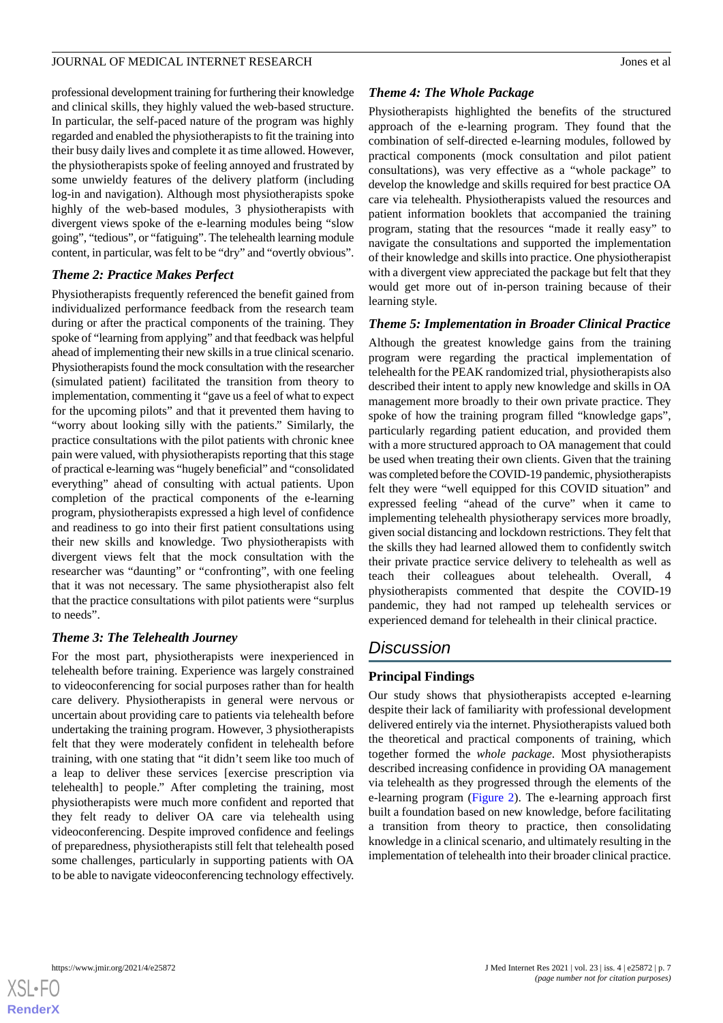professional development training for furthering their knowledge and clinical skills, they highly valued the web-based structure. In particular, the self-paced nature of the program was highly regarded and enabled the physiotherapists to fit the training into their busy daily lives and complete it as time allowed. However, the physiotherapists spoke of feeling annoyed and frustrated by some unwieldy features of the delivery platform (including log-in and navigation). Although most physiotherapists spoke highly of the web-based modules, 3 physiotherapists with divergent views spoke of the e-learning modules being "slow going", "tedious", or "fatiguing". The telehealth learning module content, in particular, was felt to be "dry" and "overtly obvious".

# *Theme 2: Practice Makes Perfect*

Physiotherapists frequently referenced the benefit gained from individualized performance feedback from the research team during or after the practical components of the training. They spoke of "learning from applying" and that feedback was helpful ahead of implementing their new skills in a true clinical scenario. Physiotherapists found the mock consultation with the researcher (simulated patient) facilitated the transition from theory to implementation, commenting it "gave us a feel of what to expect for the upcoming pilots" and that it prevented them having to "worry about looking silly with the patients." Similarly, the practice consultations with the pilot patients with chronic knee pain were valued, with physiotherapists reporting that this stage of practical e-learning was "hugely beneficial" and "consolidated everything" ahead of consulting with actual patients. Upon completion of the practical components of the e-learning program, physiotherapists expressed a high level of confidence and readiness to go into their first patient consultations using their new skills and knowledge. Two physiotherapists with divergent views felt that the mock consultation with the researcher was "daunting" or "confronting", with one feeling that it was not necessary. The same physiotherapist also felt that the practice consultations with pilot patients were "surplus to needs".

# *Theme 3: The Telehealth Journey*

For the most part, physiotherapists were inexperienced in telehealth before training. Experience was largely constrained to videoconferencing for social purposes rather than for health care delivery. Physiotherapists in general were nervous or uncertain about providing care to patients via telehealth before undertaking the training program. However, 3 physiotherapists felt that they were moderately confident in telehealth before training, with one stating that "it didn't seem like too much of a leap to deliver these services [exercise prescription via telehealth] to people." After completing the training, most physiotherapists were much more confident and reported that they felt ready to deliver OA care via telehealth using videoconferencing. Despite improved confidence and feelings of preparedness, physiotherapists still felt that telehealth posed some challenges, particularly in supporting patients with OA to be able to navigate videoconferencing technology effectively.

# *Theme 4: The Whole Package*

Physiotherapists highlighted the benefits of the structured approach of the e-learning program. They found that the combination of self-directed e-learning modules, followed by practical components (mock consultation and pilot patient consultations), was very effective as a "whole package" to develop the knowledge and skills required for best practice OA care via telehealth. Physiotherapists valued the resources and patient information booklets that accompanied the training program, stating that the resources "made it really easy" to navigate the consultations and supported the implementation of their knowledge and skills into practice. One physiotherapist with a divergent view appreciated the package but felt that they would get more out of in-person training because of their learning style.

# *Theme 5: Implementation in Broader Clinical Practice*

Although the greatest knowledge gains from the training program were regarding the practical implementation of telehealth for the PEAK randomized trial, physiotherapists also described their intent to apply new knowledge and skills in OA management more broadly to their own private practice. They spoke of how the training program filled "knowledge gaps", particularly regarding patient education, and provided them with a more structured approach to OA management that could be used when treating their own clients. Given that the training was completed before the COVID-19 pandemic, physiotherapists felt they were "well equipped for this COVID situation" and expressed feeling "ahead of the curve" when it came to implementing telehealth physiotherapy services more broadly, given social distancing and lockdown restrictions. They felt that the skills they had learned allowed them to confidently switch their private practice service delivery to telehealth as well as teach their colleagues about telehealth. Overall, 4 physiotherapists commented that despite the COVID-19 pandemic, they had not ramped up telehealth services or experienced demand for telehealth in their clinical practice.

# *Discussion*

# **Principal Findings**

Our study shows that physiotherapists accepted e-learning despite their lack of familiarity with professional development delivered entirely via the internet. Physiotherapists valued both the theoretical and practical components of training, which together formed the *whole package*. Most physiotherapists described increasing confidence in providing OA management via telehealth as they progressed through the elements of the e-learning program ([Figure 2\)](#page-7-0). The e-learning approach first built a foundation based on new knowledge, before facilitating a transition from theory to practice, then consolidating knowledge in a clinical scenario, and ultimately resulting in the implementation of telehealth into their broader clinical practice.

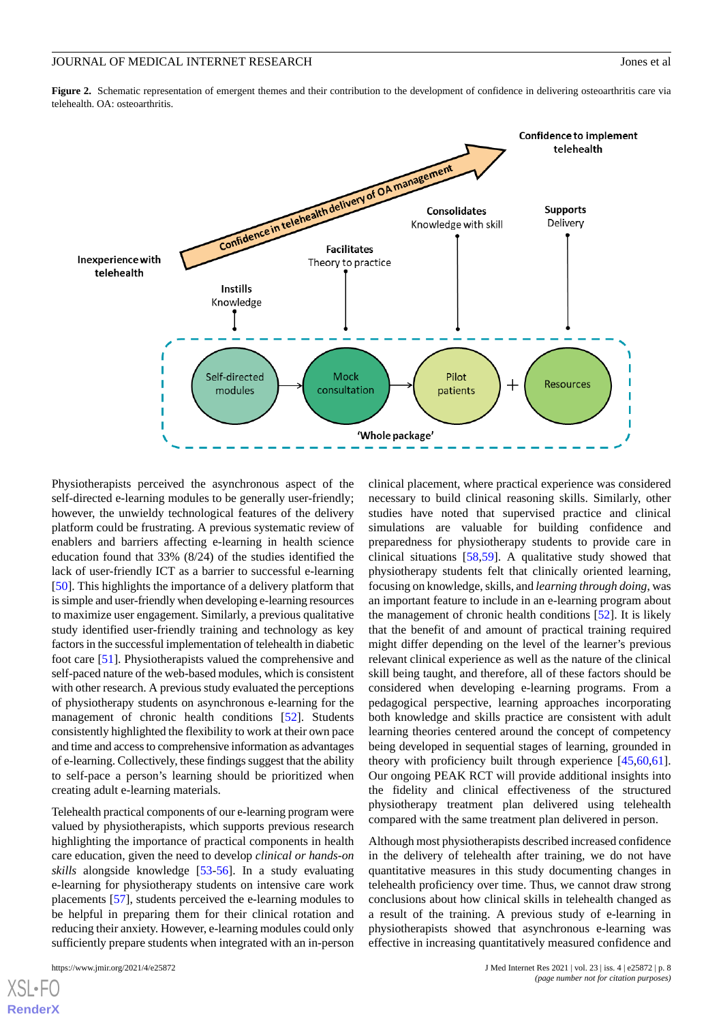<span id="page-7-0"></span>Figure 2. Schematic representation of emergent themes and their contribution to the development of confidence in delivering osteoarthritis care via telehealth. OA: osteoarthritis.



Physiotherapists perceived the asynchronous aspect of the self-directed e-learning modules to be generally user-friendly; however, the unwieldy technological features of the delivery platform could be frustrating. A previous systematic review of enablers and barriers affecting e-learning in health science education found that 33% (8/24) of the studies identified the lack of user-friendly ICT as a barrier to successful e-learning [[50\]](#page-11-4). This highlights the importance of a delivery platform that is simple and user-friendly when developing e-learning resources to maximize user engagement. Similarly, a previous qualitative study identified user-friendly training and technology as key factors in the successful implementation of telehealth in diabetic foot care [[51\]](#page-11-5). Physiotherapists valued the comprehensive and self-paced nature of the web-based modules, which is consistent with other research. A previous study evaluated the perceptions of physiotherapy students on asynchronous e-learning for the management of chronic health conditions [[52\]](#page-11-6). Students consistently highlighted the flexibility to work at their own pace and time and access to comprehensive information as advantages of e-learning. Collectively, these findings suggest that the ability to self-pace a person's learning should be prioritized when creating adult e-learning materials.

Telehealth practical components of our e-learning program were valued by physiotherapists, which supports previous research highlighting the importance of practical components in health care education, given the need to develop *clinical or hands-on skills* alongside knowledge [[53](#page-11-7)[-56](#page-11-8)]. In a study evaluating e-learning for physiotherapy students on intensive care work placements [[57\]](#page-11-9), students perceived the e-learning modules to be helpful in preparing them for their clinical rotation and reducing their anxiety. However, e-learning modules could only sufficiently prepare students when integrated with an in-person

[XSL](http://www.w3.org/Style/XSL)•FO **[RenderX](http://www.renderx.com/)**

clinical placement, where practical experience was considered necessary to build clinical reasoning skills. Similarly, other studies have noted that supervised practice and clinical simulations are valuable for building confidence and preparedness for physiotherapy students to provide care in clinical situations [\[58](#page-11-10),[59\]](#page-11-11). A qualitative study showed that physiotherapy students felt that clinically oriented learning, focusing on knowledge, skills, and *learning through doing*, was an important feature to include in an e-learning program about the management of chronic health conditions [\[52](#page-11-6)]. It is likely that the benefit of and amount of practical training required might differ depending on the level of the learner's previous relevant clinical experience as well as the nature of the clinical skill being taught, and therefore, all of these factors should be considered when developing e-learning programs. From a pedagogical perspective, learning approaches incorporating both knowledge and skills practice are consistent with adult learning theories centered around the concept of competency being developed in sequential stages of learning, grounded in theory with proficiency built through experience [[45](#page-10-13)[,60](#page-11-12),[61\]](#page-11-13). Our ongoing PEAK RCT will provide additional insights into the fidelity and clinical effectiveness of the structured physiotherapy treatment plan delivered using telehealth compared with the same treatment plan delivered in person.

Although most physiotherapists described increased confidence in the delivery of telehealth after training, we do not have quantitative measures in this study documenting changes in telehealth proficiency over time. Thus, we cannot draw strong conclusions about how clinical skills in telehealth changed as a result of the training. A previous study of e-learning in physiotherapists showed that asynchronous e-learning was effective in increasing quantitatively measured confidence and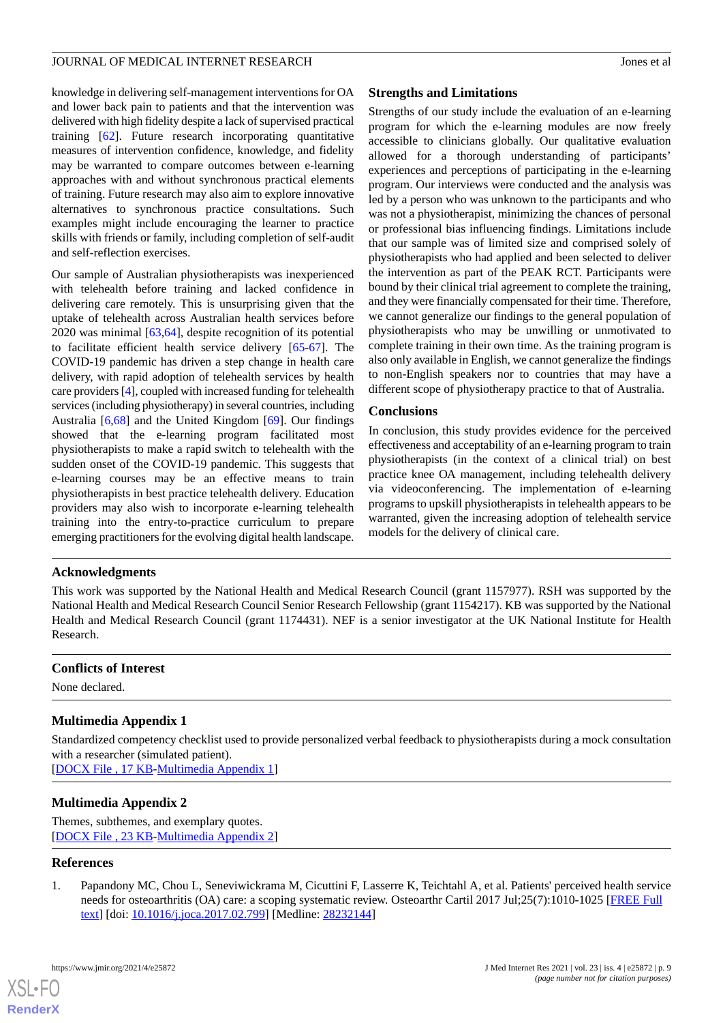knowledge in delivering self-management interventions for OA and lower back pain to patients and that the intervention was delivered with high fidelity despite a lack of supervised practical training [[62\]](#page-11-14). Future research incorporating quantitative measures of intervention confidence, knowledge, and fidelity may be warranted to compare outcomes between e-learning approaches with and without synchronous practical elements of training. Future research may also aim to explore innovative alternatives to synchronous practice consultations. Such examples might include encouraging the learner to practice skills with friends or family, including completion of self-audit and self-reflection exercises.

Our sample of Australian physiotherapists was inexperienced with telehealth before training and lacked confidence in delivering care remotely. This is unsurprising given that the uptake of telehealth across Australian health services before 2020 was minimal [[63](#page-11-15)[,64](#page-11-16)], despite recognition of its potential to facilitate efficient health service delivery [\[65](#page-11-17)[-67](#page-11-18)]. The COVID-19 pandemic has driven a step change in health care delivery, with rapid adoption of telehealth services by health care providers [\[4](#page-9-2)], coupled with increased funding for telehealth services (including physiotherapy) in several countries, including Australia [\[6](#page-9-4),[68\]](#page-11-19) and the United Kingdom [\[69](#page-12-0)]. Our findings showed that the e-learning program facilitated most physiotherapists to make a rapid switch to telehealth with the sudden onset of the COVID-19 pandemic. This suggests that e-learning courses may be an effective means to train physiotherapists in best practice telehealth delivery. Education providers may also wish to incorporate e-learning telehealth training into the entry-to-practice curriculum to prepare emerging practitioners for the evolving digital health landscape.

# **Strengths and Limitations**

Strengths of our study include the evaluation of an e-learning program for which the e-learning modules are now freely accessible to clinicians globally. Our qualitative evaluation allowed for a thorough understanding of participants' experiences and perceptions of participating in the e-learning program. Our interviews were conducted and the analysis was led by a person who was unknown to the participants and who was not a physiotherapist, minimizing the chances of personal or professional bias influencing findings. Limitations include that our sample was of limited size and comprised solely of physiotherapists who had applied and been selected to deliver the intervention as part of the PEAK RCT. Participants were bound by their clinical trial agreement to complete the training, and they were financially compensated for their time. Therefore, we cannot generalize our findings to the general population of physiotherapists who may be unwilling or unmotivated to complete training in their own time. As the training program is also only available in English, we cannot generalize the findings to non-English speakers nor to countries that may have a different scope of physiotherapy practice to that of Australia.

# **Conclusions**

In conclusion, this study provides evidence for the perceived effectiveness and acceptability of an e-learning program to train physiotherapists (in the context of a clinical trial) on best practice knee OA management, including telehealth delivery via videoconferencing. The implementation of e-learning programs to upskill physiotherapists in telehealth appears to be warranted, given the increasing adoption of telehealth service models for the delivery of clinical care.

# **Acknowledgments**

This work was supported by the National Health and Medical Research Council (grant 1157977). RSH was supported by the National Health and Medical Research Council Senior Research Fellowship (grant 1154217). KB was supported by the National Health and Medical Research Council (grant 1174431). NEF is a senior investigator at the UK National Institute for Health Research.

# <span id="page-8-1"></span>**Conflicts of Interest**

None declared.

# <span id="page-8-2"></span>**Multimedia Appendix 1**

Standardized competency checklist used to provide personalized verbal feedback to physiotherapists during a mock consultation with a researcher (simulated patient). [[DOCX File , 17 KB](https://jmir.org/api/download?alt_name=jmir_v23i4e25872_app1.docx&filename=c81dea278de95b1cbf683247ea09237a.docx)-[Multimedia Appendix 1\]](https://jmir.org/api/download?alt_name=jmir_v23i4e25872_app1.docx&filename=c81dea278de95b1cbf683247ea09237a.docx)

# <span id="page-8-0"></span>**Multimedia Appendix 2**

Themes, subthemes, and exemplary quotes. [[DOCX File , 23 KB](https://jmir.org/api/download?alt_name=jmir_v23i4e25872_app2.docx&filename=55041bd3f578aeca9c991ba5b32ea89d.docx)-[Multimedia Appendix 2\]](https://jmir.org/api/download?alt_name=jmir_v23i4e25872_app2.docx&filename=55041bd3f578aeca9c991ba5b32ea89d.docx)

# **References**

1. Papandony MC, Chou L, Seneviwickrama M, Cicuttini F, Lasserre K, Teichtahl A, et al. Patients' perceived health service needs for osteoarthritis (OA) care: a scoping systematic review. Osteoarthr Cartil 2017 Jul;25(7):1010-1025 [[FREE Full](https://linkinghub.elsevier.com/retrieve/pii/S1063-4584(17)30867-1) [text](https://linkinghub.elsevier.com/retrieve/pii/S1063-4584(17)30867-1)] [doi: [10.1016/j.joca.2017.02.799](http://dx.doi.org/10.1016/j.joca.2017.02.799)] [Medline: [28232144](http://www.ncbi.nlm.nih.gov/entrez/query.fcgi?cmd=Retrieve&db=PubMed&list_uids=28232144&dopt=Abstract)]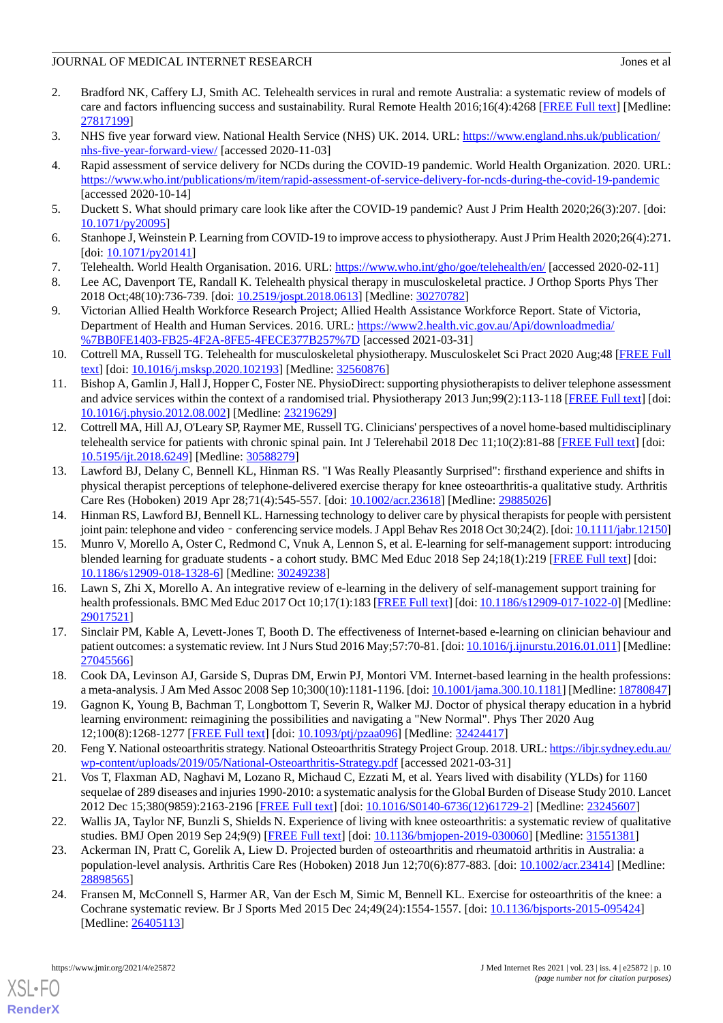- <span id="page-9-0"></span>2. Bradford NK, Caffery LJ, Smith AC. Telehealth services in rural and remote Australia: a systematic review of models of care and factors influencing success and sustainability. Rural Remote Health 2016;16(4):4268 [\[FREE Full text\]](https://www.rrh.org.au/articles/subviewnew.asp?ArticleID=4268) [Medline: [27817199](http://www.ncbi.nlm.nih.gov/entrez/query.fcgi?cmd=Retrieve&db=PubMed&list_uids=27817199&dopt=Abstract)]
- <span id="page-9-2"></span><span id="page-9-1"></span>3. NHS five year forward view. National Health Service (NHS) UK. 2014. URL: [https://www.england.nhs.uk/publication/](https://www.england.nhs.uk/publication/nhs-five-year-forward-view/) [nhs-five-year-forward-view/](https://www.england.nhs.uk/publication/nhs-five-year-forward-view/) [accessed 2020-11-03]
- 4. Rapid assessment of service delivery for NCDs during the COVID-19 pandemic. World Health Organization. 2020. URL: <https://www.who.int/publications/m/item/rapid-assessment-of-service-delivery-for-ncds-during-the-covid-19-pandemic> [accessed 2020-10-14]
- <span id="page-9-4"></span><span id="page-9-3"></span>5. Duckett S. What should primary care look like after the COVID-19 pandemic? Aust J Prim Health 2020;26(3):207. [doi: [10.1071/py20095\]](http://dx.doi.org/10.1071/py20095)
- <span id="page-9-5"></span>6. Stanhope J, Weinstein P. Learning from COVID-19 to improve access to physiotherapy. Aust J Prim Health 2020;26(4):271. [doi: [10.1071/py20141](http://dx.doi.org/10.1071/py20141)]
- <span id="page-9-6"></span>7. Telehealth. World Health Organisation. 2016. URL:<https://www.who.int/gho/goe/telehealth/en/> [accessed 2020-02-11]
- <span id="page-9-7"></span>8. Lee AC, Davenport TE, Randall K. Telehealth physical therapy in musculoskeletal practice. J Orthop Sports Phys Ther 2018 Oct;48(10):736-739. [doi: [10.2519/jospt.2018.0613](http://dx.doi.org/10.2519/jospt.2018.0613)] [Medline: [30270782\]](http://www.ncbi.nlm.nih.gov/entrez/query.fcgi?cmd=Retrieve&db=PubMed&list_uids=30270782&dopt=Abstract)
- <span id="page-9-8"></span>9. Victorian Allied Health Workforce Research Project; Allied Health Assistance Workforce Report. State of Victoria, Department of Health and Human Services. 2016. URL: [https://www2.health.vic.gov.au/Api/downloadmedia/](https://www2.health.vic.gov.au/Api/downloadmedia/%7BB0FE1403-FB25-4F2A-8FE5-4FECE377B257%7D) [%7BB0FE1403-FB25-4F2A-8FE5-4FECE377B257%7D](https://www2.health.vic.gov.au/Api/downloadmedia/%7BB0FE1403-FB25-4F2A-8FE5-4FECE377B257%7D) [accessed 2021-03-31]
- <span id="page-9-9"></span>10. Cottrell MA, Russell TG. Telehealth for musculoskeletal physiotherapy. Musculoskelet Sci Pract 2020 Aug;48 [\[FREE Full](http://europepmc.org/abstract/MED/32560876) [text](http://europepmc.org/abstract/MED/32560876)] [doi: [10.1016/j.msksp.2020.102193\]](http://dx.doi.org/10.1016/j.msksp.2020.102193) [Medline: [32560876\]](http://www.ncbi.nlm.nih.gov/entrez/query.fcgi?cmd=Retrieve&db=PubMed&list_uids=32560876&dopt=Abstract)
- <span id="page-9-10"></span>11. Bishop A, Gamlin J, Hall J, Hopper C, Foster NE. PhysioDirect: supporting physiotherapists to deliver telephone assessment and advice services within the context of a randomised trial. Physiotherapy 2013 Jun;99(2):113-118 [\[FREE Full text](https://linkinghub.elsevier.com/retrieve/pii/S0031-9406(12)00082-X)] [doi: [10.1016/j.physio.2012.08.002](http://dx.doi.org/10.1016/j.physio.2012.08.002)] [Medline: [23219629\]](http://www.ncbi.nlm.nih.gov/entrez/query.fcgi?cmd=Retrieve&db=PubMed&list_uids=23219629&dopt=Abstract)
- <span id="page-9-11"></span>12. Cottrell MA, Hill AJ, O'Leary SP, Raymer ME, Russell TG. Clinicians' perspectives of a novel home-based multidisciplinary telehealth service for patients with chronic spinal pain. Int J Telerehabil 2018 Dec 11;10(2):81-88 [[FREE Full text](http://europepmc.org/abstract/MED/30588279)] [doi: [10.5195/ijt.2018.6249](http://dx.doi.org/10.5195/ijt.2018.6249)] [Medline: [30588279\]](http://www.ncbi.nlm.nih.gov/entrez/query.fcgi?cmd=Retrieve&db=PubMed&list_uids=30588279&dopt=Abstract)
- <span id="page-9-13"></span><span id="page-9-12"></span>13. Lawford BJ, Delany C, Bennell KL, Hinman RS. "I Was Really Pleasantly Surprised": firsthand experience and shifts in physical therapist perceptions of telephone-delivered exercise therapy for knee osteoarthritis-a qualitative study. Arthritis Care Res (Hoboken) 2019 Apr 28;71(4):545-557. [doi: [10.1002/acr.23618](http://dx.doi.org/10.1002/acr.23618)] [Medline: [29885026\]](http://www.ncbi.nlm.nih.gov/entrez/query.fcgi?cmd=Retrieve&db=PubMed&list_uids=29885026&dopt=Abstract)
- 14. Hinman RS, Lawford BJ, Bennell KL. Harnessing technology to deliver care by physical therapists for people with persistent joint pain: telephone and video - conferencing service models. J Appl Behav Res 2018 Oct 30;24(2). [doi: [10.1111/jabr.12150](http://dx.doi.org/10.1111/jabr.12150)]
- <span id="page-9-14"></span>15. Munro V, Morello A, Oster C, Redmond C, Vnuk A, Lennon S, et al. E-learning for self-management support: introducing blended learning for graduate students - a cohort study. BMC Med Educ 2018 Sep 24;18(1):219 [[FREE Full text](https://bmcmededuc.biomedcentral.com/articles/10.1186/s12909-018-1328-6)] [doi: [10.1186/s12909-018-1328-6\]](http://dx.doi.org/10.1186/s12909-018-1328-6) [Medline: [30249238](http://www.ncbi.nlm.nih.gov/entrez/query.fcgi?cmd=Retrieve&db=PubMed&list_uids=30249238&dopt=Abstract)]
- <span id="page-9-16"></span><span id="page-9-15"></span>16. Lawn S, Zhi X, Morello A. An integrative review of e-learning in the delivery of self-management support training for health professionals. BMC Med Educ 2017 Oct 10;17(1):183 [[FREE Full text\]](https://bmcmededuc.biomedcentral.com/articles/10.1186/s12909-017-1022-0) [doi: [10.1186/s12909-017-1022-0](http://dx.doi.org/10.1186/s12909-017-1022-0)] [Medline: [29017521](http://www.ncbi.nlm.nih.gov/entrez/query.fcgi?cmd=Retrieve&db=PubMed&list_uids=29017521&dopt=Abstract)]
- <span id="page-9-17"></span>17. Sinclair PM, Kable A, Levett-Jones T, Booth D. The effectiveness of Internet-based e-learning on clinician behaviour and patient outcomes: a systematic review. Int J Nurs Stud 2016 May; 57:70-81. [doi: [10.1016/j.ijnurstu.2016.01.011](http://dx.doi.org/10.1016/j.ijnurstu.2016.01.011)] [Medline: [27045566](http://www.ncbi.nlm.nih.gov/entrez/query.fcgi?cmd=Retrieve&db=PubMed&list_uids=27045566&dopt=Abstract)]
- <span id="page-9-18"></span>18. Cook DA, Levinson AJ, Garside S, Dupras DM, Erwin PJ, Montori VM. Internet-based learning in the health professions: a meta-analysis. J Am Med Assoc 2008 Sep 10;300(10):1181-1196. [doi: [10.1001/jama.300.10.1181\]](http://dx.doi.org/10.1001/jama.300.10.1181) [Medline: [18780847](http://www.ncbi.nlm.nih.gov/entrez/query.fcgi?cmd=Retrieve&db=PubMed&list_uids=18780847&dopt=Abstract)]
- <span id="page-9-19"></span>19. Gagnon K, Young B, Bachman T, Longbottom T, Severin R, Walker MJ. Doctor of physical therapy education in a hybrid learning environment: reimagining the possibilities and navigating a "New Normal". Phys Ther 2020 Aug 12;100(8):1268-1277 [[FREE Full text](http://europepmc.org/abstract/MED/32424417)] [doi: [10.1093/ptj/pzaa096\]](http://dx.doi.org/10.1093/ptj/pzaa096) [Medline: [32424417](http://www.ncbi.nlm.nih.gov/entrez/query.fcgi?cmd=Retrieve&db=PubMed&list_uids=32424417&dopt=Abstract)]
- <span id="page-9-20"></span>20. Feng Y. National osteoarthritis strategy. National Osteoarthritis Strategy Project Group. 2018. URL: [https://ibjr.sydney.edu.au/](https://ibjr.sydney.edu.au/wp-content/uploads/2019/05/National-Osteoarthritis-Strategy.pdf) [wp-content/uploads/2019/05/National-Osteoarthritis-Strategy.pdf](https://ibjr.sydney.edu.au/wp-content/uploads/2019/05/National-Osteoarthritis-Strategy.pdf) [accessed 2021-03-31]
- <span id="page-9-21"></span>21. Vos T, Flaxman AD, Naghavi M, Lozano R, Michaud C, Ezzati M, et al. Years lived with disability (YLDs) for 1160 sequelae of 289 diseases and injuries 1990-2010: a systematic analysis for the Global Burden of Disease Study 2010. Lancet 2012 Dec 15;380(9859):2163-2196 [\[FREE Full text](http://europepmc.org/abstract/MED/23245607)] [doi: [10.1016/S0140-6736\(12\)61729-2\]](http://dx.doi.org/10.1016/S0140-6736(12)61729-2) [Medline: [23245607\]](http://www.ncbi.nlm.nih.gov/entrez/query.fcgi?cmd=Retrieve&db=PubMed&list_uids=23245607&dopt=Abstract)
- <span id="page-9-22"></span>22. Wallis JA, Taylor NF, Bunzli S, Shields N. Experience of living with knee osteoarthritis: a systematic review of qualitative studies. BMJ Open 2019 Sep 24;9(9) [[FREE Full text](https://bmjopen.bmj.com/lookup/pmidlookup?view=long&pmid=31551381)] [doi: [10.1136/bmjopen-2019-030060](http://dx.doi.org/10.1136/bmjopen-2019-030060)] [Medline: [31551381](http://www.ncbi.nlm.nih.gov/entrez/query.fcgi?cmd=Retrieve&db=PubMed&list_uids=31551381&dopt=Abstract)]
- 23. Ackerman IN, Pratt C, Gorelik A, Liew D. Projected burden of osteoarthritis and rheumatoid arthritis in Australia: a population-level analysis. Arthritis Care Res (Hoboken) 2018 Jun 12;70(6):877-883. [doi: [10.1002/acr.23414\]](http://dx.doi.org/10.1002/acr.23414) [Medline: [28898565](http://www.ncbi.nlm.nih.gov/entrez/query.fcgi?cmd=Retrieve&db=PubMed&list_uids=28898565&dopt=Abstract)]
- 24. Fransen M, McConnell S, Harmer AR, Van der Esch M, Simic M, Bennell KL. Exercise for osteoarthritis of the knee: a Cochrane systematic review. Br J Sports Med 2015 Dec 24;49(24):1554-1557. [doi: [10.1136/bjsports-2015-095424\]](http://dx.doi.org/10.1136/bjsports-2015-095424) [Medline: [26405113](http://www.ncbi.nlm.nih.gov/entrez/query.fcgi?cmd=Retrieve&db=PubMed&list_uids=26405113&dopt=Abstract)]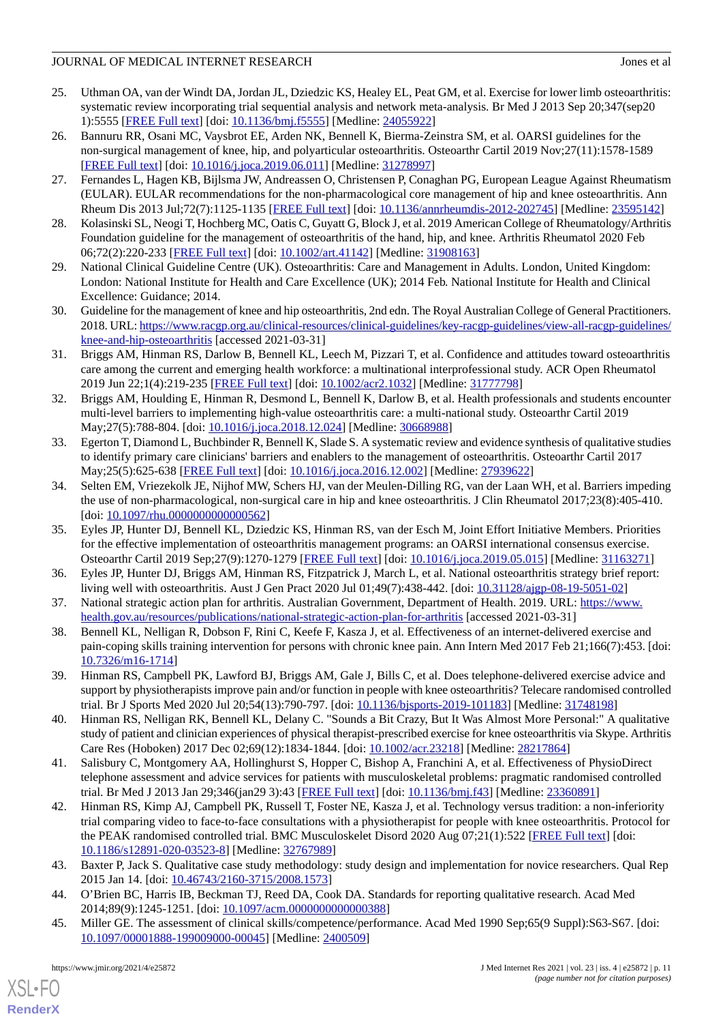- <span id="page-10-0"></span>25. Uthman OA, van der Windt DA, Jordan JL, Dziedzic KS, Healey EL, Peat GM, et al. Exercise for lower limb osteoarthritis: systematic review incorporating trial sequential analysis and network meta-analysis. Br Med J 2013 Sep 20;347(sep20 1):5555 [[FREE Full text\]](http://www.bmj.com/lookup/pmidlookup?view=long&pmid=24055922) [doi: [10.1136/bmj.f5555\]](http://dx.doi.org/10.1136/bmj.f5555) [Medline: [24055922\]](http://www.ncbi.nlm.nih.gov/entrez/query.fcgi?cmd=Retrieve&db=PubMed&list_uids=24055922&dopt=Abstract)
- <span id="page-10-1"></span>26. Bannuru RR, Osani MC, Vaysbrot EE, Arden NK, Bennell K, Bierma-Zeinstra SM, et al. OARSI guidelines for the non-surgical management of knee, hip, and polyarticular osteoarthritis. Osteoarthr Cartil 2019 Nov;27(11):1578-1589 [[FREE Full text](https://linkinghub.elsevier.com/retrieve/pii/S1063-4584(19)31116-1)] [doi: [10.1016/j.joca.2019.06.011](http://dx.doi.org/10.1016/j.joca.2019.06.011)] [Medline: [31278997\]](http://www.ncbi.nlm.nih.gov/entrez/query.fcgi?cmd=Retrieve&db=PubMed&list_uids=31278997&dopt=Abstract)
- 27. Fernandes L, Hagen KB, Bijlsma JW, Andreassen O, Christensen P, Conaghan PG, European League Against Rheumatism (EULAR). EULAR recommendations for the non-pharmacological core management of hip and knee osteoarthritis. Ann Rheum Dis 2013 Jul;72(7):1125-1135 [[FREE Full text](https://ard.bmj.com/lookup/pmidlookup?view=long&pmid=23595142)] [doi: [10.1136/annrheumdis-2012-202745](http://dx.doi.org/10.1136/annrheumdis-2012-202745)] [Medline: [23595142\]](http://www.ncbi.nlm.nih.gov/entrez/query.fcgi?cmd=Retrieve&db=PubMed&list_uids=23595142&dopt=Abstract)
- 28. Kolasinski SL, Neogi T, Hochberg MC, Oatis C, Guyatt G, Block J, et al. 2019 American College of Rheumatology/Arthritis Foundation guideline for the management of osteoarthritis of the hand, hip, and knee. Arthritis Rheumatol 2020 Feb 06;72(2):220-233 [[FREE Full text](https://doi.org/10.1002/art.41142)] [doi: [10.1002/art.41142\]](http://dx.doi.org/10.1002/art.41142) [Medline: [31908163\]](http://www.ncbi.nlm.nih.gov/entrez/query.fcgi?cmd=Retrieve&db=PubMed&list_uids=31908163&dopt=Abstract)
- <span id="page-10-2"></span>29. National Clinical Guideline Centre (UK). Osteoarthritis: Care and Management in Adults. London, United Kingdom: London: National Institute for Health and Care Excellence (UK); 2014 Feb. National Institute for Health and Clinical Excellence: Guidance; 2014.
- <span id="page-10-3"></span>30. Guideline for the management of knee and hip osteoarthritis, 2nd edn. The Royal Australian College of General Practitioners. 2018. URL: [https://www.racgp.org.au/clinical-resources/clinical-guidelines/key-racgp-guidelines/view-all-racgp-guidelines/](https://www.racgp.org.au/clinical-resources/clinical-guidelines/key-racgp-guidelines/view-all-racgp-guidelines/knee-and-hip-osteoarthritis) [knee-and-hip-osteoarthritis](https://www.racgp.org.au/clinical-resources/clinical-guidelines/key-racgp-guidelines/view-all-racgp-guidelines/knee-and-hip-osteoarthritis) [accessed 2021-03-31]
- 31. Briggs AM, Hinman RS, Darlow B, Bennell KL, Leech M, Pizzari T, et al. Confidence and attitudes toward osteoarthritis care among the current and emerging health workforce: a multinational interprofessional study. ACR Open Rheumatol 2019 Jun 22;1(4):219-235 [[FREE Full text](https://doi.org/10.1002/acr2.1032)] [doi: [10.1002/acr2.1032](http://dx.doi.org/10.1002/acr2.1032)] [Medline: [31777798](http://www.ncbi.nlm.nih.gov/entrez/query.fcgi?cmd=Retrieve&db=PubMed&list_uids=31777798&dopt=Abstract)]
- 32. Briggs AM, Houlding E, Hinman R, Desmond L, Bennell K, Darlow B, et al. Health professionals and students encounter multi-level barriers to implementing high-value osteoarthritis care: a multi-national study. Osteoarthr Cartil 2019 May; 27(5): 788-804. [doi: 10.1016/j.joca. 2018.12.024] [Medline: [30668988](http://www.ncbi.nlm.nih.gov/entrez/query.fcgi?cmd=Retrieve&db=PubMed&list_uids=30668988&dopt=Abstract)]
- <span id="page-10-4"></span>33. Egerton T, Diamond L, Buchbinder R, Bennell K, Slade S. A systematic review and evidence synthesis of qualitative studies to identify primary care clinicians' barriers and enablers to the management of osteoarthritis. Osteoarthr Cartil 2017 May;25(5):625-638 [\[FREE Full text\]](https://linkinghub.elsevier.com/retrieve/pii/S1063-4584(16)30439-3) [doi: [10.1016/j.joca.2016.12.002\]](http://dx.doi.org/10.1016/j.joca.2016.12.002) [Medline: [27939622](http://www.ncbi.nlm.nih.gov/entrez/query.fcgi?cmd=Retrieve&db=PubMed&list_uids=27939622&dopt=Abstract)]
- <span id="page-10-5"></span>34. Selten EM, Vriezekolk JE, Nijhof MW, Schers HJ, van der Meulen-Dilling RG, van der Laan WH, et al. Barriers impeding the use of non-pharmacological, non-surgical care in hip and knee osteoarthritis. J Clin Rheumatol 2017;23(8):405-410. [doi: [10.1097/rhu.0000000000000562](http://dx.doi.org/10.1097/rhu.0000000000000562)]
- <span id="page-10-6"></span>35. Eyles JP, Hunter DJ, Bennell KL, Dziedzic KS, Hinman RS, van der Esch M, Joint Effort Initiative Members. Priorities for the effective implementation of osteoarthritis management programs: an OARSI international consensus exercise. Osteoarthr Cartil 2019 Sep;27(9):1270-1279 [\[FREE Full text\]](https://linkinghub.elsevier.com/retrieve/pii/S1063-4584(19)31046-5) [doi: [10.1016/j.joca.2019.05.015\]](http://dx.doi.org/10.1016/j.joca.2019.05.015) [Medline: [31163271\]](http://www.ncbi.nlm.nih.gov/entrez/query.fcgi?cmd=Retrieve&db=PubMed&list_uids=31163271&dopt=Abstract)
- <span id="page-10-7"></span>36. Eyles JP, Hunter DJ, Briggs AM, Hinman RS, Fitzpatrick J, March L, et al. National osteoarthritis strategy brief report: living well with osteoarthritis. Aust J Gen Pract 2020 Jul 01;49(7):438-442. [doi: [10.31128/ajgp-08-19-5051-02\]](http://dx.doi.org/10.31128/ajgp-08-19-5051-02)
- 37. National strategic action plan for arthritis. Australian Government, Department of Health. 2019. URL: [https://www.](https://www.health.gov.au/resources/publications/national-strategic-action-plan-for-arthritis) [health.gov.au/resources/publications/national-strategic-action-plan-for-arthritis](https://www.health.gov.au/resources/publications/national-strategic-action-plan-for-arthritis) [accessed 2021-03-31]
- <span id="page-10-8"></span>38. Bennell KL, Nelligan R, Dobson F, Rini C, Keefe F, Kasza J, et al. Effectiveness of an internet-delivered exercise and pain-coping skills training intervention for persons with chronic knee pain. Ann Intern Med 2017 Feb 21;166(7):453. [doi: [10.7326/m16-1714\]](http://dx.doi.org/10.7326/m16-1714)
- <span id="page-10-9"></span>39. Hinman RS, Campbell PK, Lawford BJ, Briggs AM, Gale J, Bills C, et al. Does telephone-delivered exercise advice and support by physiotherapists improve pain and/or function in people with knee osteoarthritis? Telecare randomised controlled trial. Br J Sports Med 2020 Jul 20;54(13):790-797. [doi: [10.1136/bjsports-2019-101183\]](http://dx.doi.org/10.1136/bjsports-2019-101183) [Medline: [31748198](http://www.ncbi.nlm.nih.gov/entrez/query.fcgi?cmd=Retrieve&db=PubMed&list_uids=31748198&dopt=Abstract)]
- <span id="page-10-10"></span>40. Hinman RS, Nelligan RK, Bennell KL, Delany C. "Sounds a Bit Crazy, But It Was Almost More Personal:" A qualitative study of patient and clinician experiences of physical therapist-prescribed exercise for knee osteoarthritis via Skype. Arthritis Care Res (Hoboken) 2017 Dec 02;69(12):1834-1844. [doi: [10.1002/acr.23218\]](http://dx.doi.org/10.1002/acr.23218) [Medline: [28217864](http://www.ncbi.nlm.nih.gov/entrez/query.fcgi?cmd=Retrieve&db=PubMed&list_uids=28217864&dopt=Abstract)]
- <span id="page-10-11"></span>41. Salisbury C, Montgomery AA, Hollinghurst S, Hopper C, Bishop A, Franchini A, et al. Effectiveness of PhysioDirect telephone assessment and advice services for patients with musculoskeletal problems: pragmatic randomised controlled trial. Br Med J 2013 Jan 29;346(jan29 3):43 [\[FREE Full text\]](http://www.bmj.com/lookup/pmidlookup?view=long&pmid=23360891) [doi: [10.1136/bmj.f43\]](http://dx.doi.org/10.1136/bmj.f43) [Medline: [23360891](http://www.ncbi.nlm.nih.gov/entrez/query.fcgi?cmd=Retrieve&db=PubMed&list_uids=23360891&dopt=Abstract)]
- <span id="page-10-13"></span><span id="page-10-12"></span>42. Hinman RS, Kimp AJ, Campbell PK, Russell T, Foster NE, Kasza J, et al. Technology versus tradition: a non-inferiority trial comparing video to face-to-face consultations with a physiotherapist for people with knee osteoarthritis. Protocol for the PEAK randomised controlled trial. BMC Musculoskelet Disord 2020 Aug 07;21(1):522 [[FREE Full text](https://bmcmusculoskeletdisord.biomedcentral.com/articles/10.1186/s12891-020-03523-8)] [doi: [10.1186/s12891-020-03523-8\]](http://dx.doi.org/10.1186/s12891-020-03523-8) [Medline: [32767989\]](http://www.ncbi.nlm.nih.gov/entrez/query.fcgi?cmd=Retrieve&db=PubMed&list_uids=32767989&dopt=Abstract)
- 43. Baxter P, Jack S. Qualitative case study methodology: study design and implementation for novice researchers. Qual Rep 2015 Jan 14. [doi: [10.46743/2160-3715/2008.1573](http://dx.doi.org/10.46743/2160-3715/2008.1573)]
- 44. O'Brien BC, Harris IB, Beckman TJ, Reed DA, Cook DA. Standards for reporting qualitative research. Acad Med 2014;89(9):1245-1251. [doi: [10.1097/acm.0000000000000388\]](http://dx.doi.org/10.1097/acm.0000000000000388)
- 45. Miller GE. The assessment of clinical skills/competence/performance. Acad Med 1990 Sep;65(9 Suppl):S63-S67. [doi: [10.1097/00001888-199009000-00045](http://dx.doi.org/10.1097/00001888-199009000-00045)] [Medline: [2400509](http://www.ncbi.nlm.nih.gov/entrez/query.fcgi?cmd=Retrieve&db=PubMed&list_uids=2400509&dopt=Abstract)]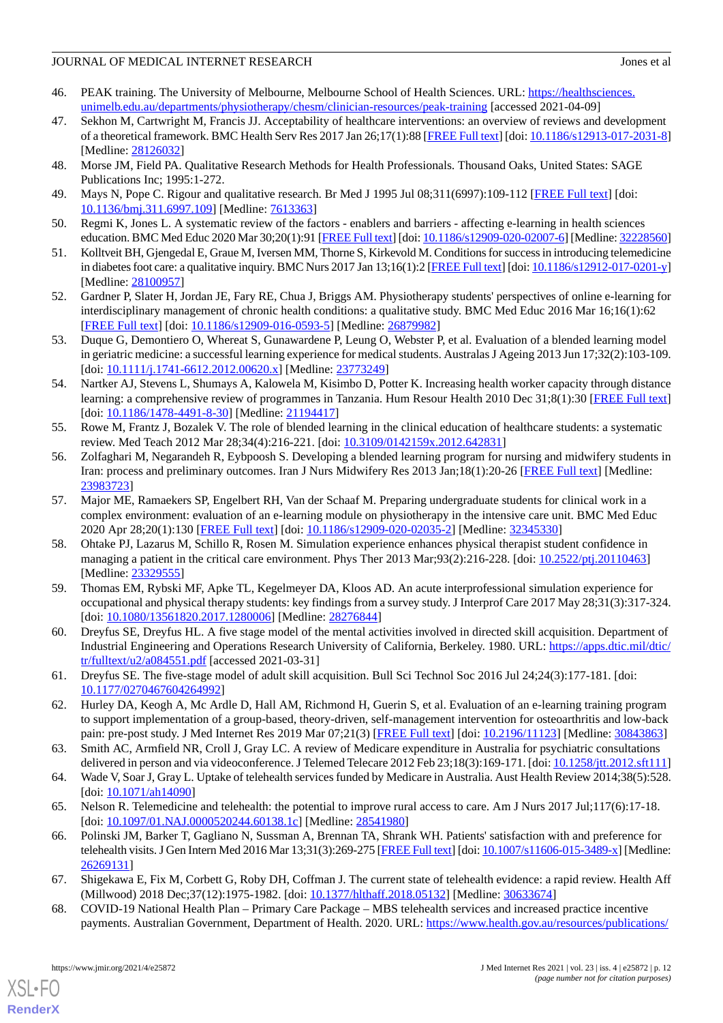- <span id="page-11-0"></span>46. PEAK training. The University of Melbourne, Melbourne School of Health Sciences. URL: [https://healthsciences.](https://healthsciences.unimelb.edu.au/departments/physiotherapy/chesm/clinician-resources/peak-training) [unimelb.edu.au/departments/physiotherapy/chesm/clinician-resources/peak-training](https://healthsciences.unimelb.edu.au/departments/physiotherapy/chesm/clinician-resources/peak-training) [accessed 2021-04-09]
- <span id="page-11-1"></span>47. Sekhon M, Cartwright M, Francis JJ. Acceptability of healthcare interventions: an overview of reviews and development of a theoretical framework. BMC Health Serv Res 2017 Jan 26;17(1):88 [\[FREE Full text\]](https://bmchealthservres.biomedcentral.com/articles/10.1186/s12913-017-2031-8) [doi: [10.1186/s12913-017-2031-8\]](http://dx.doi.org/10.1186/s12913-017-2031-8) [Medline: [28126032](http://www.ncbi.nlm.nih.gov/entrez/query.fcgi?cmd=Retrieve&db=PubMed&list_uids=28126032&dopt=Abstract)]
- <span id="page-11-3"></span><span id="page-11-2"></span>48. Morse JM, Field PA. Qualitative Research Methods for Health Professionals. Thousand Oaks, United States: SAGE Publications Inc; 1995:1-272.
- <span id="page-11-4"></span>49. Mays N, Pope C. Rigour and qualitative research. Br Med J 1995 Jul 08;311(6997):109-112 [\[FREE Full text\]](http://europepmc.org/abstract/MED/7613363) [doi: [10.1136/bmj.311.6997.109\]](http://dx.doi.org/10.1136/bmj.311.6997.109) [Medline: [7613363\]](http://www.ncbi.nlm.nih.gov/entrez/query.fcgi?cmd=Retrieve&db=PubMed&list_uids=7613363&dopt=Abstract)
- <span id="page-11-5"></span>50. Regmi K, Jones L. A systematic review of the factors - enablers and barriers - affecting e-learning in health sciences education. BMC Med Educ 2020 Mar 30;20(1):91 [\[FREE Full text](https://bmcmededuc.biomedcentral.com/articles/10.1186/s12909-020-02007-6)] [doi: [10.1186/s12909-020-02007-6\]](http://dx.doi.org/10.1186/s12909-020-02007-6) [Medline: [32228560\]](http://www.ncbi.nlm.nih.gov/entrez/query.fcgi?cmd=Retrieve&db=PubMed&list_uids=32228560&dopt=Abstract)
- <span id="page-11-6"></span>51. Kolltveit BH, Gjengedal E, Graue M, Iversen MM, Thorne S, Kirkevold M. Conditions for success in introducing telemedicine in diabetes foot care: a qualitative inquiry. BMC Nurs 2017 Jan 13;16(1):2 [\[FREE Full text](https://bmcnurs.biomedcentral.com/articles/10.1186/s12912-017-0201-y)] [doi: [10.1186/s12912-017-0201-y\]](http://dx.doi.org/10.1186/s12912-017-0201-y) [Medline: [28100957](http://www.ncbi.nlm.nih.gov/entrez/query.fcgi?cmd=Retrieve&db=PubMed&list_uids=28100957&dopt=Abstract)]
- <span id="page-11-7"></span>52. Gardner P, Slater H, Jordan JE, Fary RE, Chua J, Briggs AM. Physiotherapy students' perspectives of online e-learning for interdisciplinary management of chronic health conditions: a qualitative study. BMC Med Educ 2016 Mar 16;16(1):62 [[FREE Full text](https://bmcmededuc.biomedcentral.com/articles/10.1186/s12909-016-0593-5)] [doi: [10.1186/s12909-016-0593-5\]](http://dx.doi.org/10.1186/s12909-016-0593-5) [Medline: [26879982](http://www.ncbi.nlm.nih.gov/entrez/query.fcgi?cmd=Retrieve&db=PubMed&list_uids=26879982&dopt=Abstract)]
- 53. Duque G, Demontiero O, Whereat S, Gunawardene P, Leung O, Webster P, et al. Evaluation of a blended learning model in geriatric medicine: a successful learning experience for medical students. Australas J Ageing 2013 Jun 17;32(2):103-109. [doi: [10.1111/j.1741-6612.2012.00620.x](http://dx.doi.org/10.1111/j.1741-6612.2012.00620.x)] [Medline: [23773249](http://www.ncbi.nlm.nih.gov/entrez/query.fcgi?cmd=Retrieve&db=PubMed&list_uids=23773249&dopt=Abstract)]
- 54. Nartker AJ, Stevens L, Shumays A, Kalowela M, Kisimbo D, Potter K. Increasing health worker capacity through distance learning: a comprehensive review of programmes in Tanzania. Hum Resour Health 2010 Dec 31;8(1):30 [\[FREE Full text](https://human-resources-health.biomedcentral.com/articles/10.1186/1478-4491-8-30)] [doi: [10.1186/1478-4491-8-30](http://dx.doi.org/10.1186/1478-4491-8-30)] [Medline: [21194417\]](http://www.ncbi.nlm.nih.gov/entrez/query.fcgi?cmd=Retrieve&db=PubMed&list_uids=21194417&dopt=Abstract)
- <span id="page-11-8"></span>55. Rowe M, Frantz J, Bozalek V. The role of blended learning in the clinical education of healthcare students: a systematic review. Med Teach 2012 Mar 28;34(4):216-221. [doi: [10.3109/0142159x.2012.642831\]](http://dx.doi.org/10.3109/0142159x.2012.642831)
- <span id="page-11-9"></span>56. Zolfaghari M, Negarandeh R, Eybpoosh S. Developing a blended learning program for nursing and midwifery students in Iran: process and preliminary outcomes. Iran J Nurs Midwifery Res 2013 Jan;18(1):20-26 [[FREE Full text](http://europepmc.org/abstract/MED/23983723)] [Medline: [23983723](http://www.ncbi.nlm.nih.gov/entrez/query.fcgi?cmd=Retrieve&db=PubMed&list_uids=23983723&dopt=Abstract)]
- <span id="page-11-10"></span>57. Major ME, Ramaekers SP, Engelbert RH, Van der Schaaf M. Preparing undergraduate students for clinical work in a complex environment: evaluation of an e-learning module on physiotherapy in the intensive care unit. BMC Med Educ 2020 Apr 28;20(1):130 [\[FREE Full text\]](https://bmcmededuc.biomedcentral.com/articles/10.1186/s12909-020-02035-2) [doi: [10.1186/s12909-020-02035-2\]](http://dx.doi.org/10.1186/s12909-020-02035-2) [Medline: [32345330\]](http://www.ncbi.nlm.nih.gov/entrez/query.fcgi?cmd=Retrieve&db=PubMed&list_uids=32345330&dopt=Abstract)
- <span id="page-11-11"></span>58. Ohtake PJ, Lazarus M, Schillo R, Rosen M. Simulation experience enhances physical therapist student confidence in managing a patient in the critical care environment. Phys Ther 2013 Mar;93(2):216-228. [doi: [10.2522/ptj.20110463](http://dx.doi.org/10.2522/ptj.20110463)] [Medline: [23329555](http://www.ncbi.nlm.nih.gov/entrez/query.fcgi?cmd=Retrieve&db=PubMed&list_uids=23329555&dopt=Abstract)]
- <span id="page-11-13"></span><span id="page-11-12"></span>59. Thomas EM, Rybski MF, Apke TL, Kegelmeyer DA, Kloos AD. An acute interprofessional simulation experience for occupational and physical therapy students: key findings from a survey study. J Interprof Care 2017 May 28;31(3):317-324. [doi: [10.1080/13561820.2017.1280006](http://dx.doi.org/10.1080/13561820.2017.1280006)] [Medline: [28276844\]](http://www.ncbi.nlm.nih.gov/entrez/query.fcgi?cmd=Retrieve&db=PubMed&list_uids=28276844&dopt=Abstract)
- <span id="page-11-14"></span>60. Dreyfus SE, Dreyfus HL. A five stage model of the mental activities involved in directed skill acquisition. Department of Industrial Engineering and Operations Research University of California, Berkeley. 1980. URL: [https://apps.dtic.mil/dtic/](https://apps.dtic.mil/dtic/tr/fulltext/u2/a084551.pdf) [tr/fulltext/u2/a084551.pdf](https://apps.dtic.mil/dtic/tr/fulltext/u2/a084551.pdf) [accessed 2021-03-31]
- <span id="page-11-15"></span>61. Dreyfus SE. The five-stage model of adult skill acquisition. Bull Sci Technol Soc 2016 Jul 24;24(3):177-181. [doi: [10.1177/0270467604264992\]](http://dx.doi.org/10.1177/0270467604264992)
- <span id="page-11-17"></span><span id="page-11-16"></span>62. Hurley DA, Keogh A, Mc Ardle D, Hall AM, Richmond H, Guerin S, et al. Evaluation of an e-learning training program to support implementation of a group-based, theory-driven, self-management intervention for osteoarthritis and low-back pain: pre-post study. J Med Internet Res 2019 Mar 07;21(3) [[FREE Full text\]](https://www.jmir.org/2019/3/e11123/) [doi: [10.2196/11123](http://dx.doi.org/10.2196/11123)] [Medline: [30843863](http://www.ncbi.nlm.nih.gov/entrez/query.fcgi?cmd=Retrieve&db=PubMed&list_uids=30843863&dopt=Abstract)]
- 63. Smith AC, Armfield NR, Croll J, Gray LC. A review of Medicare expenditure in Australia for psychiatric consultations delivered in person and via videoconference. J Telemed Telecare 2012 Feb 23;18(3):169-171. [doi: [10.1258/jtt.2012.sft111](http://dx.doi.org/10.1258/jtt.2012.sft111)]
- <span id="page-11-18"></span>64. Wade V, Soar J, Gray L. Uptake of telehealth services funded by Medicare in Australia. Aust Health Review 2014;38(5):528. [doi: [10.1071/ah14090\]](http://dx.doi.org/10.1071/ah14090)
- <span id="page-11-19"></span>65. Nelson R. Telemedicine and telehealth: the potential to improve rural access to care. Am J Nurs 2017 Jul;117(6):17-18. [doi: [10.1097/01.NAJ.0000520244.60138.1c\]](http://dx.doi.org/10.1097/01.NAJ.0000520244.60138.1c) [Medline: [28541980](http://www.ncbi.nlm.nih.gov/entrez/query.fcgi?cmd=Retrieve&db=PubMed&list_uids=28541980&dopt=Abstract)]
- 66. Polinski JM, Barker T, Gagliano N, Sussman A, Brennan TA, Shrank WH. Patients' satisfaction with and preference for telehealth visits. J Gen Intern Med 2016 Mar 13;31(3):269-275 [\[FREE Full text\]](http://europepmc.org/abstract/MED/26269131) [doi: [10.1007/s11606-015-3489-x](http://dx.doi.org/10.1007/s11606-015-3489-x)] [Medline: [26269131](http://www.ncbi.nlm.nih.gov/entrez/query.fcgi?cmd=Retrieve&db=PubMed&list_uids=26269131&dopt=Abstract)]
- 67. Shigekawa E, Fix M, Corbett G, Roby DH, Coffman J. The current state of telehealth evidence: a rapid review. Health Aff (Millwood) 2018 Dec;37(12):1975-1982. [doi: [10.1377/hlthaff.2018.05132](http://dx.doi.org/10.1377/hlthaff.2018.05132)] [Medline: [30633674\]](http://www.ncbi.nlm.nih.gov/entrez/query.fcgi?cmd=Retrieve&db=PubMed&list_uids=30633674&dopt=Abstract)
- 68. COVID-19 National Health Plan Primary Care Package MBS telehealth services and increased practice incentive payments. Australian Government, Department of Health. 2020. URL: [https://www.health.gov.au/resources/publications/](https://www.health.gov.au/resources/publications/covid-19-national-health-plan-primary-care-package-mbs-telehealth-services-and-increased-practice-incentive-payments)